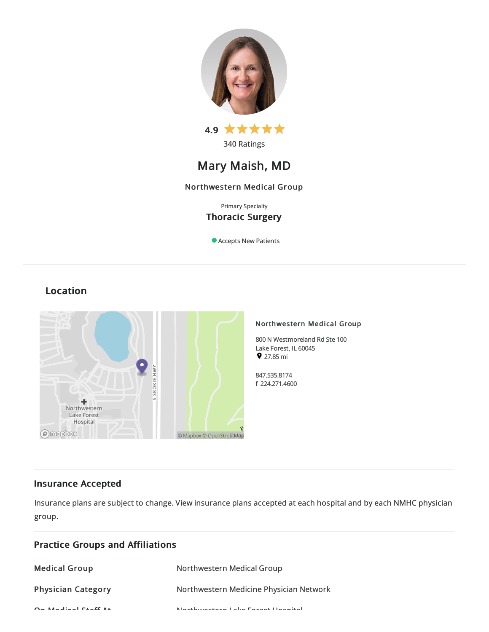



# Mary Maish, MD

# Northwestern Medical Group

# Primary Specialty Thoracic Surgery

Accepts New Patients

# Location



# Insurance Accepted

Practice Groups and Affiliations

Insurance plans are subject to change. View [insurance](https://www.nm.org/patients-and-visitors/billing-and-insurance/insurance-information/accepted-insurance-plans) plans accepted at each hospital and by each NMHC physician group.

| <b>Medical Group</b>      | Northwestern Medical Group                                     |
|---------------------------|----------------------------------------------------------------|
| <b>Physician Category</b> | Northwestern Medicine Physician Network                        |
| $Q = M + 1$ and $Q = R$   | Martin Louis and a constitution in Francisco and Haraca Strait |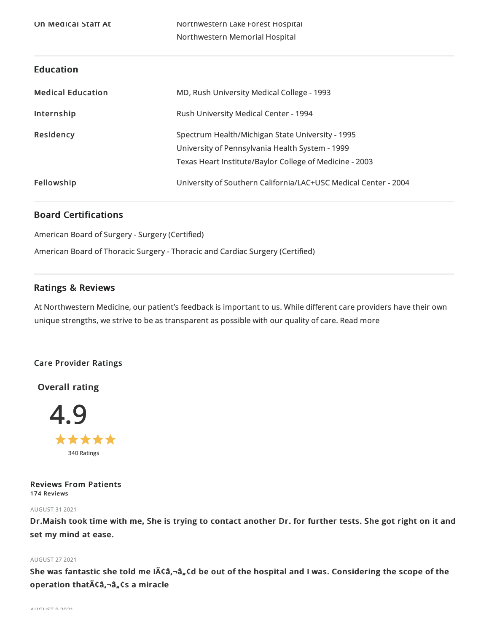# Education

| <b>Medical Education</b> | MD, Rush University Medical College - 1993                                                                                                                     |
|--------------------------|----------------------------------------------------------------------------------------------------------------------------------------------------------------|
| Internship               | Rush University Medical Center - 1994                                                                                                                          |
| Residency                | Spectrum Health/Michigan State University - 1995<br>University of Pennsylvania Health System - 1999<br>Texas Heart Institute/Baylor College of Medicine - 2003 |
| Fellowship               | University of Southern California/LAC+USC Medical Center - 2004                                                                                                |

# Board Certifications

American Board of Surgery - Surgery (Certified)

American Board of Thoracic Surgery - Thoracic and Cardiac Surgery (Certified)

# Ratings & Reviews

At Northwestern Medicine, our patient's feedback is important to us. While different care providers have their own unique strengths, we strive to be as transparent as possible with our quality of care. Read more

# Care Provider Ratings

Overall rating



Reviews From Patients 174 Reviews

# AUGUST 312021

Dr.Maish took time with me, She is trying to contact another Dr. for further tests. She got right on it and set my mind at ease.

# AUGUST 272021

She was fantastic she told me Iââ,¬â"¢d be out of the hospital and I was. Considering the scope of the operation that Aca,-a, Cs a miracle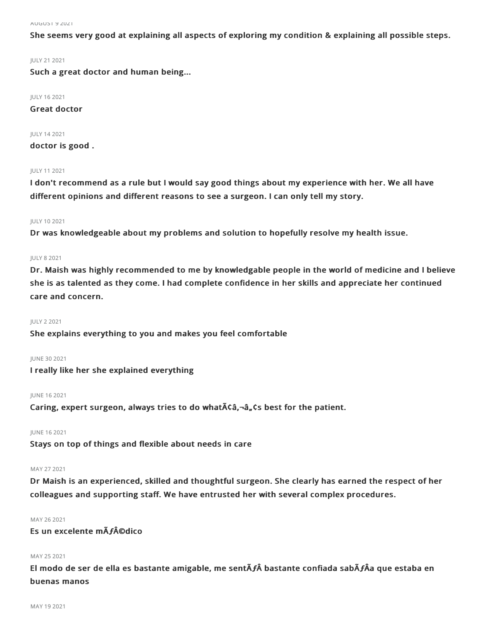She seems very good at explaining all aspects of exploring my condition & explaining all possible steps.

### JULY 212021

Such a great doctor and human being...

JULY 162021

Great doctor

JULY 142021 doctor is good .

### JULY 112021

I don't recommend as a rule but I would say good things about my experience with her. We all have different opinions and different reasons to see a surgeon. I can only tell my story.

### JULY 102021

Dr was knowledgeable about my problems and solution to hopefully resolve my health issue.

#### JULY 82021

Dr. Maish was highly recommended to me by knowledgable people in the world of medicine and I believe she is as talented as they come. I had complete confidence in her skills and appreciate her continued care and concern.

#### JULY 22021

She explains everything to you and makes you feel comfortable

#### **IUNE 30 2021**

I really like her she explained everything

#### JUNE 162021

Caring, expert surgeon, always tries to do what $\tilde{A}$  $\zeta$  $\tilde{a}$ , $\zeta$ s best for the patient.

#### JUNE 162021

Stays on top of things and flexible about needs in care

#### MAY 27 2021

Dr Maish is an experienced, skilled and thoughtful surgeon. She clearly has earned the respect of her colleagues and supporting staff. We have entrusted her with several complex procedures.

#### MAY 262021

# Es un excelente mÃ**ƒ**©dico

# MAY 252021

El modo de ser de ella es bastante amigable, me sentÃ**ƒ**Â bastante confiada sabÃ**ƒ**Âa que estaba en buenas manos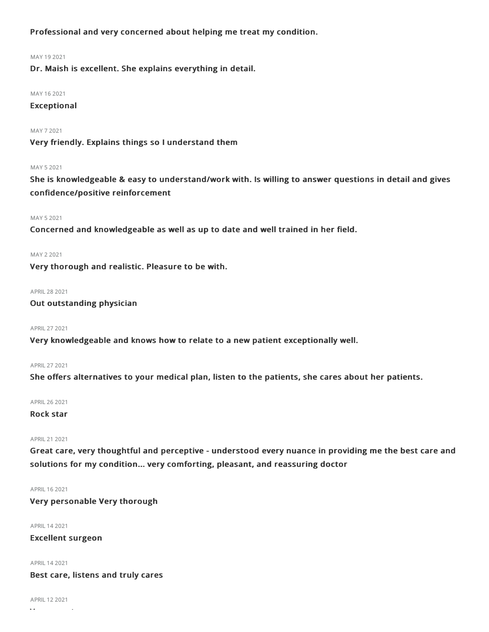Professional and very concerned about helping me treat my condition.

#### MAY 192021

Dr. Maish is excellent. She explains everything in detail.

#### MAY 162021

# Exceptional

### MAY 72021

Very friendly. Explains things so I understand them

#### MAY 52021

She is knowledgeable & easy to understand/work with. Is willing to answer questions in detail and gives confidence/positive reinforcement

### MAY 52021

Concerned and knowledgeable as well as up to date and well trained in her field.

#### MAY 22021

Very thorough and realistic. Pleasure to be with.

APRIL282021

# Out outstanding physician

# APRIL272021

Very knowledgeable and knows how to relate to a new patient exceptionally well.

### APRIL272021

She offers alternatives to your medical plan, listen to the patients, she cares about her patients.

APRIL262021

# Rock star

#### APRIL212021

Great care, very thoughtful and perceptive - understood every nuance in providing me the best care and solutions for my condition... very comforting, pleasant, and reassuring doctor

APRIL 16 2021

Very personable Very thorough

#### APRIL142021

# Excellent surgeon

APRIL142021

# Best care, listens and truly cares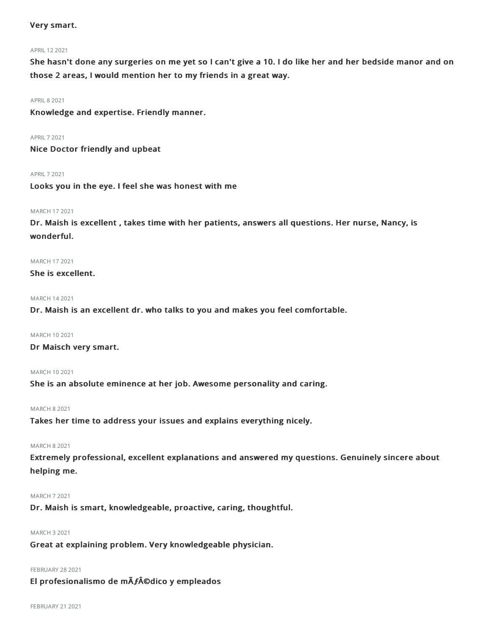# Very smart.

# APRIL 12 2021

She hasn't done any surgeries on me yet so I can't give a 10. I do like her and her bedside manor and on those 2 areas, I would mention her to my friends in a great way.

### **APRIL 8 2021**

Knowledge and expertise. Friendly manner.

APRIL72021

Nice Doctor friendly and upbeat

APRIL72021

Looks you in the eye. I feel she was honest with me

# MARCH 172021

Dr. Maish is excellent , takes time with her patients, answers all questions. Her nurse, Nancy, is wonderful.

MARCH 172021

She is excellent.

# MARCH 142021

Dr. Maish is an excellent dr. who talks to you and makes you feel comfortable.

MARCH 102021

Dr Maisch very smart.

# MARCH 102021

She is an absolute eminence at her job. Awesome personality and caring.

# MARCH 82021

Takes her time to address your issues and explains everything nicely.

### MARCH 82021

Extremely professional, excellent explanations and answered my questions. Genuinely sincere about helping me.

# MARCH 72021

Dr. Maish is smart, knowledgeable, proactive, caring, thoughtful.

#### MARCH 32021

Great at explaining problem. Very knowledgeable physician.

# **FEBRUARY 28 2021**

# El profesionalismo de mÃ**ƒ**©dico y empleados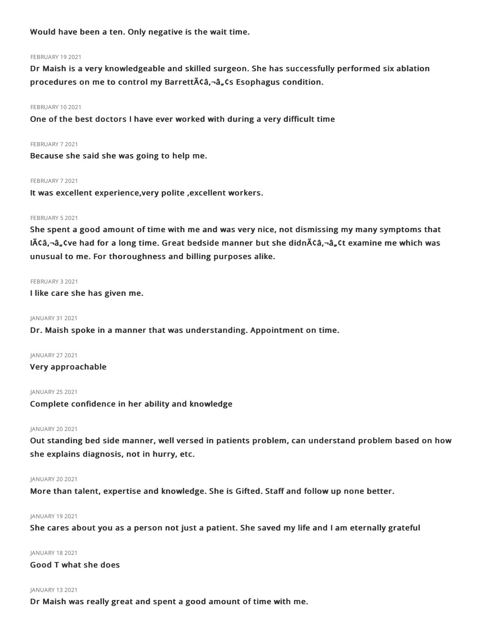Would have been a ten. Only negative is the wait time.

#### **FEBRUARY 19 2021**

Dr Maish is a very knowledgeable and skilled surgeon. She has successfully performed six ablation procedures on me to control my Barrett $\bar{A}$ ¢â, -â, ¢s Esophagus condition.

#### FEBRUARY 102021

One of the best doctors I have ever worked with during a very difficult time

#### FEBRUARY 72021

Because she said she was going to help me.

#### FEBRUARY 72021

It was excellent experience,very polite ,excellent workers.

#### FEBRUARY 5 2021

She spent a good amount of time with me and was very nice, not dismissing my many symptoms that  $I\tilde{A}\tilde{C}$ a, Cve had for a long time. Great bedside manner but she didn $\tilde{A}\tilde{C}$ a, Ct examine me which was unusual to me. For thoroughness and billing purposes alike.

#### FEBRUARY 32021

I like care she has given me.

#### JANUARY 312021

Dr. Maish spoke in a manner that was understanding. Appointment on time.

JANUARY 27 2021

# Very approachable

JANUARY 25 2021

Complete confidence in her ability and knowledge

#### JANUARY 20 2021

Out standing bed side manner, well versed in patients problem, can understand problem based on how she explains diagnosis, not in hurry, etc.

### JANUARY 20 2021

More than talent, expertise and knowledge. She is Gifted. Staff and follow up none better.

#### JANUARY 19 2021

She cares about you as a person not just a patient. She saved my life and I am eternally grateful

# JANUARY 182021

Good T what she does

# JANUARY 132021

Dr Maish was really great and spent a good amount of time with me.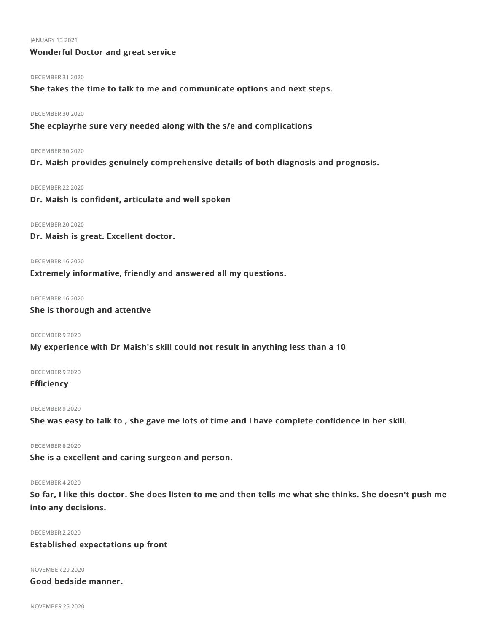#### JANUARY 132021

# Wonderful Doctor and great service

#### DECEMBER 312020

She takes the time to talk to me and communicate options and next steps.

#### DECEMBER 30 2020

She ecplayrhe sure very needed along with the s/e and complications

#### DECEMBER 30 2020

Dr. Maish provides genuinely comprehensive details of both diagnosis and prognosis.

#### DECEMBER 22 2020

Dr. Maish is confident, articulate and well spoken

#### DECEMBER 20 2020

Dr. Maish is great. Excellent doctor.

#### DECEMBER 162020

Extremely informative, friendly and answered all my questions.

# DECEMBER 162020

# She is thorough and attentive

#### DECEMBER 9 2020

My experience with Dr Maish's skill could not result in anything less than a 10

### DECEMBER 92020

# **Efficiency**

### DECEMBER 92020

She was easy to talk to , she gave me lots of time and I have complete confidence in her skill.

#### DECEMBER 82020

She is a excellent and caring surgeon and person.

# DECEMBER 42020

So far, I like this doctor. She does listen to me and then tells me what she thinks. She doesn't push me into any decisions.

#### DECEMBER 22020

# Established expectations up front

#### **NOVEMBER 29 2020**

Good bedside manner.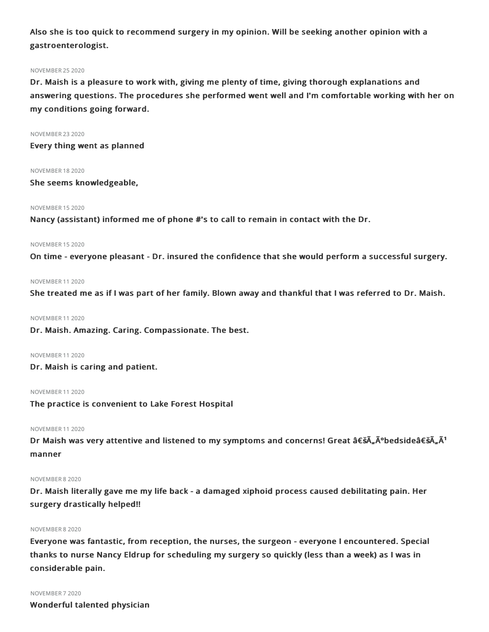Also she is too quick to recommend surgery in my opinion. Will be seeking another opinion with a gastroenterologist.

#### NOVEMBER 252020

Dr. Maish is a pleasure to work with, giving me plenty of time, giving thorough explanations and answering questions. The procedures she performed went well and I'm comfortable working with her on my conditions going forward.

NOVEMBER 232020 Every thing went as planned

NOVEMBER 182020

She seems knowledgeable,

#### NOVEMBER 152020

Nancy (assistant) informed me of phone #'s to call to remain in contact with the Dr.

NOVEMBER 152020

On time - everyone pleasant - Dr. insured the confidence that she would perform a successful surgery.

#### NOVEMBER 112020

She treated me as if I was part of her family. Blown away and thankful that I was referred to Dr. Maish.

NOVEMBER 112020

Dr. Maish. Amazing. Caring. Compassionate. The best.

NOVEMBER 112020

Dr. Maish is caring and patient.

NOVEMBER 112020

The practice is convenient to Lake Forest Hospital

# NOVEMBER 112020

Dr Maish was very attentive and listened to my symptoms and concerns! Great 'Äðbedside'ÄÃ<sup>1</sup> manner

#### NOVEMBER 82020

Dr. Maish literally gave me my life back - a damaged xiphoid process caused debilitating pain. Her surgery drastically helped!!

#### NOVEMBER 82020

Everyone was fantastic, from reception, the nurses, the surgeon - everyone I encountered. Special thanks to nurse Nancy Eldrup for scheduling my surgery so quickly (less than a week) as I was in considerable pain.

#### NOVEMBER 72020

Wonderful talented physician